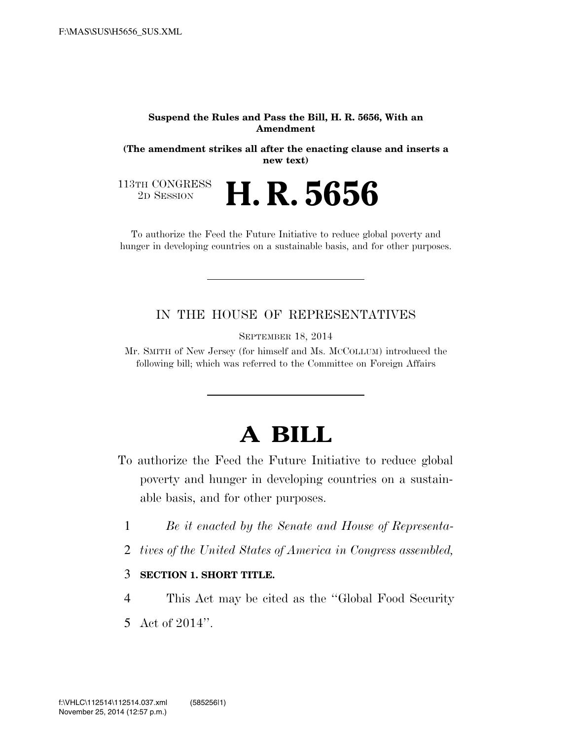#### **Suspend the Rules and Pass the Bill, H. R. 5656, With an Amendment**

**(The amendment strikes all after the enacting clause and inserts a new text)** 

113TH CONGRESS<br>2D SESSION 2D SESSION **H. R. 5656** 

To authorize the Feed the Future Initiative to reduce global poverty and hunger in developing countries on a sustainable basis, and for other purposes.

### IN THE HOUSE OF REPRESENTATIVES

SEPTEMBER 18, 2014

Mr. SMITH of New Jersey (for himself and Ms. MCCOLLUM) introduced the following bill; which was referred to the Committee on Foreign Affairs

# **A BILL**

- To authorize the Feed the Future Initiative to reduce global poverty and hunger in developing countries on a sustainable basis, and for other purposes.
	- 1 *Be it enacted by the Senate and House of Representa-*
	- 2 *tives of the United States of America in Congress assembled,*

### 3 **SECTION 1. SHORT TITLE.**

- 4 This Act may be cited as the ''Global Food Security
- 5 Act of 2014''.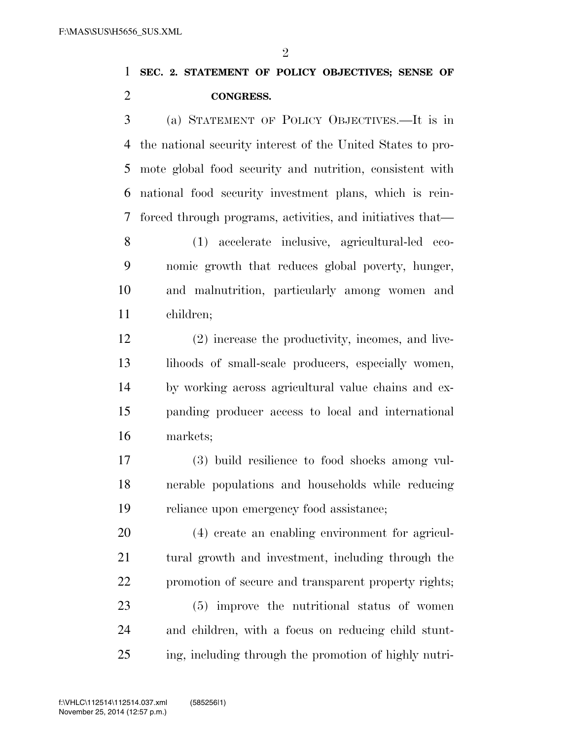$\mathfrak{D}$ 

### **SEC. 2. STATEMENT OF POLICY OBJECTIVES; SENSE OF CONGRESS.**

 (a) STATEMENT OF POLICY OBJECTIVES.—It is in the national security interest of the United States to pro- mote global food security and nutrition, consistent with national food security investment plans, which is rein-forced through programs, activities, and initiatives that—

 (1) accelerate inclusive, agricultural-led eco- nomic growth that reduces global poverty, hunger, and malnutrition, particularly among women and children;

 (2) increase the productivity, incomes, and live- lihoods of small-scale producers, especially women, by working across agricultural value chains and ex- panding producer access to local and international markets;

 (3) build resilience to food shocks among vul- nerable populations and households while reducing reliance upon emergency food assistance;

 (4) create an enabling environment for agricul- tural growth and investment, including through the promotion of secure and transparent property rights; (5) improve the nutritional status of women and children, with a focus on reducing child stunt-ing, including through the promotion of highly nutri-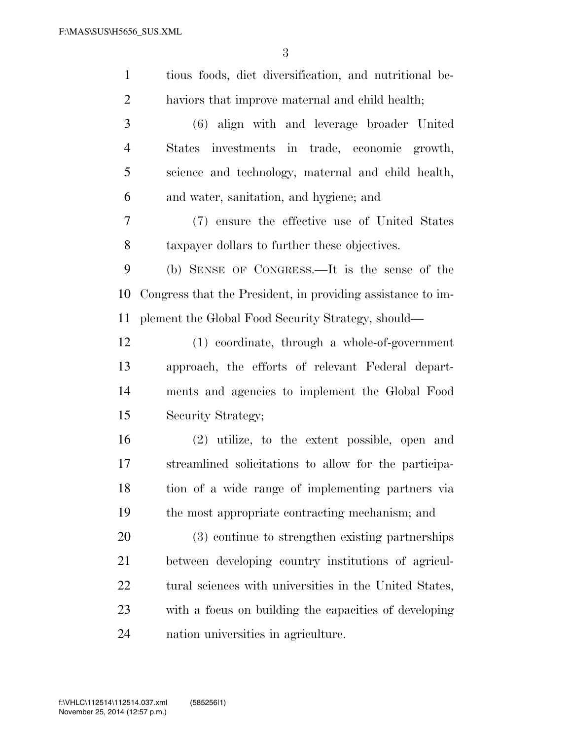| $\mathbf{1}$   | tious foods, diet diversification, and nutritional be-      |
|----------------|-------------------------------------------------------------|
| $\overline{2}$ | haviors that improve maternal and child health;             |
| 3              | (6) align with and leverage broader United                  |
| $\overline{4}$ | States investments in trade, economic growth,               |
| 5              | science and technology, maternal and child health,          |
| 6              | and water, sanitation, and hygiene; and                     |
| 7              | (7) ensure the effective use of United States               |
| 8              | taxpayer dollars to further these objectives.               |
| 9              | (b) SENSE OF CONGRESS.—It is the sense of the               |
| 10             | Congress that the President, in providing assistance to im- |
| 11             | plement the Global Food Security Strategy, should—          |
| 12             | (1) coordinate, through a whole-of-government               |
| 13             | approach, the efforts of relevant Federal depart-           |
| 14             | ments and agencies to implement the Global Food             |
| 15             | Security Strategy;                                          |
| 16             | (2) utilize, to the extent possible, open and               |
| 17             | streamlined solicitations to allow for the participa-       |
| 18             | tion of a wide range of implementing partners via           |
| 19             | the most appropriate contracting mechanism; and             |
| 20             | (3) continue to strengthen existing partnerships            |
| 21             | between developing country institutions of agricul-         |
| 22             | tural sciences with universities in the United States,      |
| 23             | with a focus on building the capacities of developing       |
| 24             | nation universities in agriculture.                         |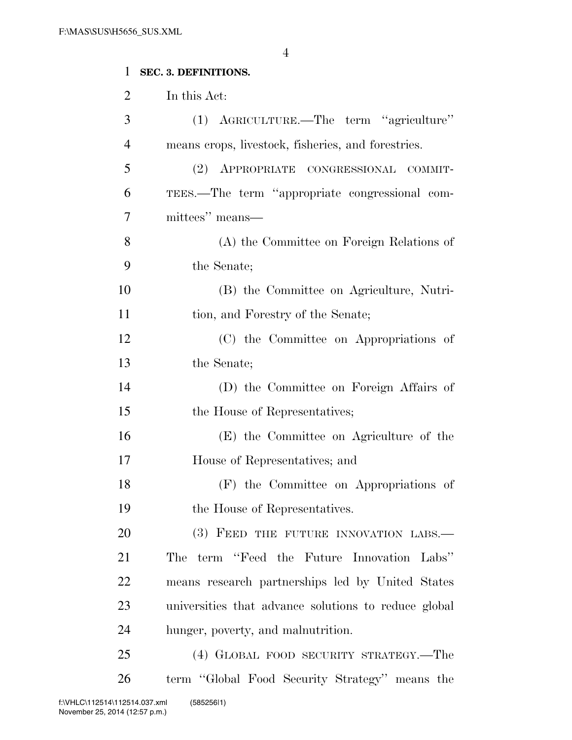### **SEC. 3. DEFINITIONS.**

| 2 |  | In this Act: |
|---|--|--------------|
|   |  |              |

| 3              | (1) AGRICULTURE.—The term "agriculture"              |
|----------------|------------------------------------------------------|
| $\overline{4}$ | means crops, livestock, fisheries, and forestries.   |
| 5              | (2) APPROPRIATE CONGRESSIONAL COMMIT-                |
| 6              | TEES.—The term "appropriate congressional com-       |
| 7              | mittees" means—                                      |
| 8              | (A) the Committee on Foreign Relations of            |
| 9              | the Senate;                                          |
| 10             | (B) the Committee on Agriculture, Nutri-             |
| 11             | tion, and Forestry of the Senate;                    |
| 12             | (C) the Committee on Appropriations of               |
| 13             | the Senate;                                          |
| 14             | (D) the Committee on Foreign Affairs of              |
| 15             | the House of Representatives;                        |
| 16             | (E) the Committee on Agriculture of the              |
| 17             | House of Representatives; and                        |
| 18             | (F) the Committee on Appropriations of               |
| 19             | the House of Representatives.                        |
| 20             | (3) FEED THE FUTURE INNOVATION LABS.-                |
| 21             | The term "Feed the Future Innovation Labs"           |
| 22             | means research partnerships led by United States     |
| 23             | universities that advance solutions to reduce global |
| 24             | hunger, poverty, and malnutrition.                   |
| 25             | (4) GLOBAL FOOD SECURITY STRATEGY.—The               |
| 26             | term "Global Food Security Strategy" means the       |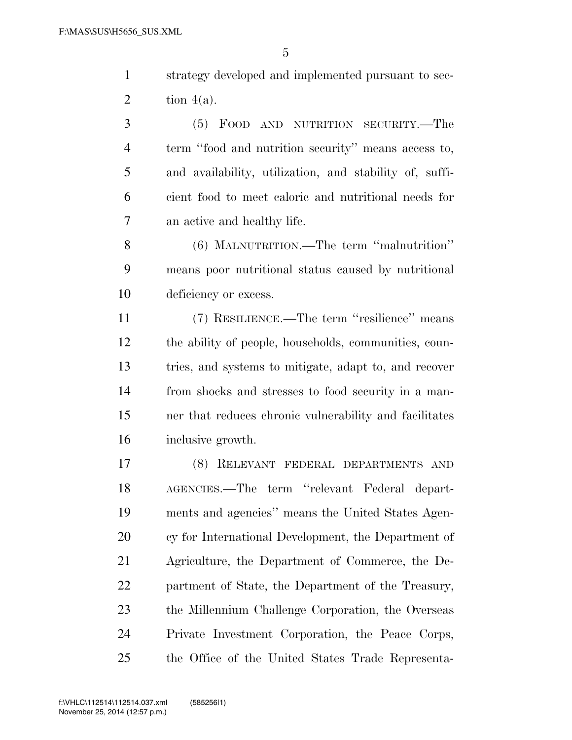strategy developed and implemented pursuant to sec-2 tion  $4(a)$ .

 (5) FOOD AND NUTRITION SECURITY.—The term ''food and nutrition security'' means access to, and availability, utilization, and stability of, suffi- cient food to meet caloric and nutritional needs for an active and healthy life.

 (6) MALNUTRITION.—The term ''malnutrition'' means poor nutritional status caused by nutritional deficiency or excess.

 (7) RESILIENCE.—The term ''resilience'' means the ability of people, households, communities, coun- tries, and systems to mitigate, adapt to, and recover from shocks and stresses to food security in a man- ner that reduces chronic vulnerability and facilitates inclusive growth.

 (8) RELEVANT FEDERAL DEPARTMENTS AND AGENCIES.—The term ''relevant Federal depart- ments and agencies'' means the United States Agen- cy for International Development, the Department of Agriculture, the Department of Commerce, the De- partment of State, the Department of the Treasury, the Millennium Challenge Corporation, the Overseas Private Investment Corporation, the Peace Corps, the Office of the United States Trade Representa-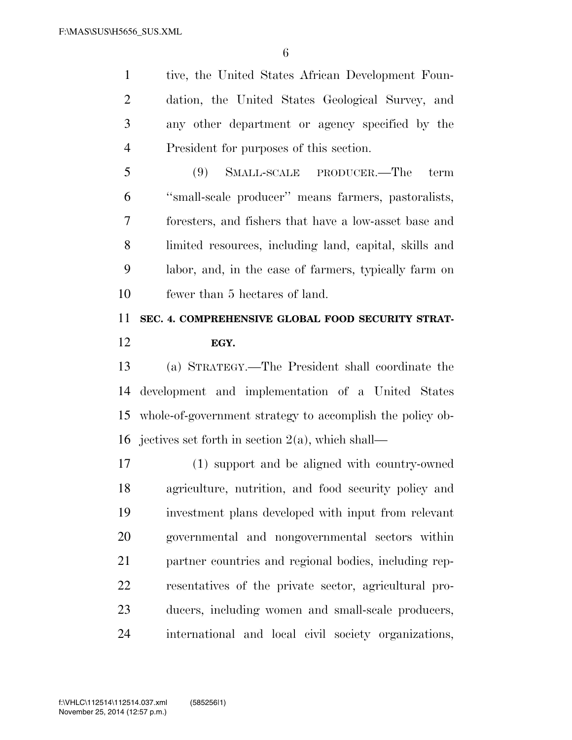tive, the United States African Development Foun- dation, the United States Geological Survey, and any other department or agency specified by the President for purposes of this section.

 (9) SMALL-SCALE PRODUCER.—The term ''small-scale producer'' means farmers, pastoralists, foresters, and fishers that have a low-asset base and limited resources, including land, capital, skills and labor, and, in the case of farmers, typically farm on fewer than 5 hectares of land.

## **SEC. 4. COMPREHENSIVE GLOBAL FOOD SECURITY STRAT-EGY.**

 (a) STRATEGY.—The President shall coordinate the development and implementation of a United States whole-of-government strategy to accomplish the policy ob-16 jectives set forth in section  $2(a)$ , which shall—

 (1) support and be aligned with country-owned agriculture, nutrition, and food security policy and investment plans developed with input from relevant governmental and nongovernmental sectors within partner countries and regional bodies, including rep- resentatives of the private sector, agricultural pro- ducers, including women and small-scale producers, international and local civil society organizations,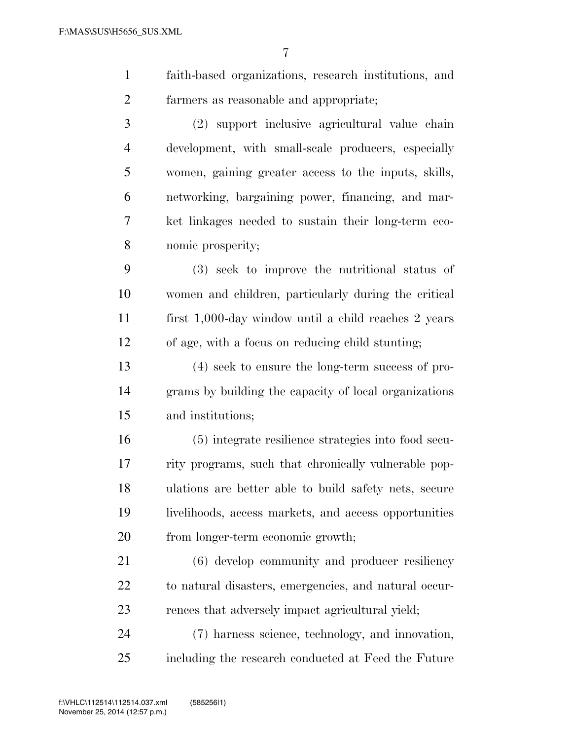faith-based organizations, research institutions, and farmers as reasonable and appropriate;

 (2) support inclusive agricultural value chain development, with small-scale producers, especially women, gaining greater access to the inputs, skills, networking, bargaining power, financing, and mar- ket linkages needed to sustain their long-term eco-nomic prosperity;

 (3) seek to improve the nutritional status of women and children, particularly during the critical first 1,000-day window until a child reaches 2 years of age, with a focus on reducing child stunting;

 (4) seek to ensure the long-term success of pro- grams by building the capacity of local organizations and institutions;

 (5) integrate resilience strategies into food secu- rity programs, such that chronically vulnerable pop- ulations are better able to build safety nets, secure livelihoods, access markets, and access opportunities from longer-term economic growth;

 (6) develop community and producer resiliency to natural disasters, emergencies, and natural occur-rences that adversely impact agricultural yield;

 (7) harness science, technology, and innovation, including the research conducted at Feed the Future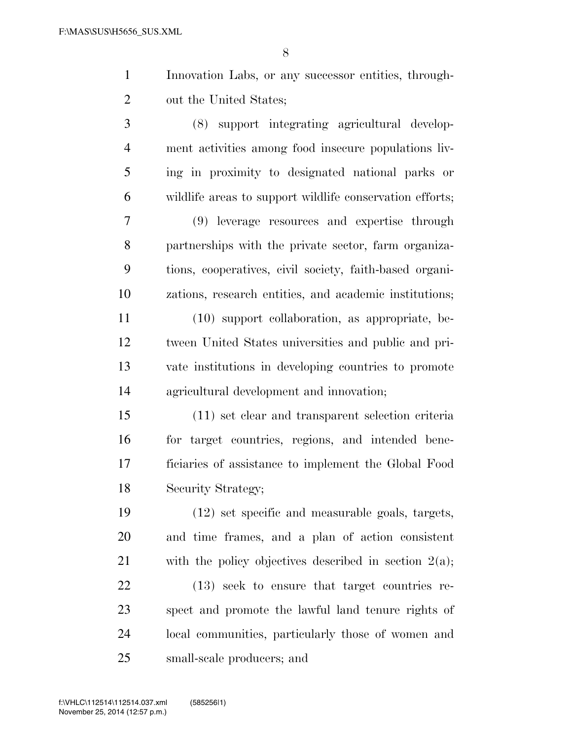| Innovation Labs, or any successor entities, through- |
|------------------------------------------------------|
| out the United States;                               |

 (8) support integrating agricultural develop- ment activities among food insecure populations liv- ing in proximity to designated national parks or wildlife areas to support wildlife conservation efforts;

 (9) leverage resources and expertise through partnerships with the private sector, farm organiza- tions, cooperatives, civil society, faith-based organi-zations, research entities, and academic institutions;

 (10) support collaboration, as appropriate, be- tween United States universities and public and pri- vate institutions in developing countries to promote agricultural development and innovation;

 (11) set clear and transparent selection criteria for target countries, regions, and intended bene- ficiaries of assistance to implement the Global Food Security Strategy;

 (12) set specific and measurable goals, targets, and time frames, and a plan of action consistent with the policy objectives described in section 2(a);

 (13) seek to ensure that target countries re- spect and promote the lawful land tenure rights of local communities, particularly those of women and small-scale producers; and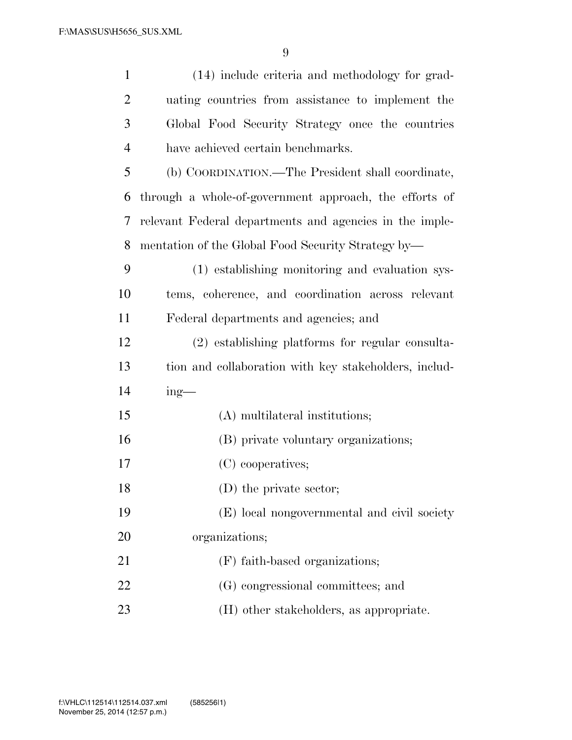| $\mathbf{1}$   | (14) include criteria and methodology for grad-         |
|----------------|---------------------------------------------------------|
| $\overline{2}$ | uating countries from assistance to implement the       |
| 3              | Global Food Security Strategy once the countries        |
| $\overline{4}$ | have achieved certain benchmarks.                       |
| 5              | (b) COORDINATION.—The President shall coordinate,       |
| 6              | through a whole-of-government approach, the efforts of  |
| 7              | relevant Federal departments and agencies in the imple- |
| 8              | mentation of the Global Food Security Strategy by—      |
| 9              | (1) establishing monitoring and evaluation sys-         |
| 10             | tems, coherence, and coordination across relevant       |
| 11             | Federal departments and agencies; and                   |
| 12             | (2) establishing platforms for regular consulta-        |
| 13             | tion and collaboration with key stakeholders, includ-   |
| 14             | $ing$ —                                                 |
| 15             | (A) multilateral institutions;                          |
| 16             | (B) private voluntary organizations;                    |
| 17             | (C) cooperatives;                                       |
| 18             | (D) the private sector;                                 |
| 19             | (E) local nongovernmental and civil society             |
| 20             | organizations;                                          |
| 21             | (F) faith-based organizations;                          |
| 22             | (G) congressional committees; and                       |
| 23             | (H) other stakeholders, as appropriate.                 |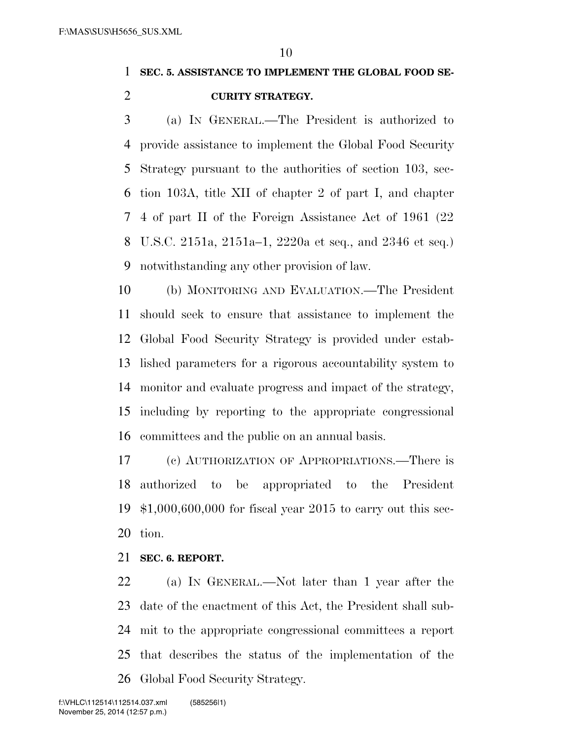### **SEC. 5. ASSISTANCE TO IMPLEMENT THE GLOBAL FOOD SE-CURITY STRATEGY.**

 (a) IN GENERAL.—The President is authorized to provide assistance to implement the Global Food Security Strategy pursuant to the authorities of section 103, sec- tion 103A, title XII of chapter 2 of part I, and chapter 4 of part II of the Foreign Assistance Act of 1961 (22 U.S.C. 2151a, 2151a–1, 2220a et seq., and 2346 et seq.) notwithstanding any other provision of law.

 (b) MONITORING AND EVALUATION.—The President should seek to ensure that assistance to implement the Global Food Security Strategy is provided under estab- lished parameters for a rigorous accountability system to monitor and evaluate progress and impact of the strategy, including by reporting to the appropriate congressional committees and the public on an annual basis.

 (c) AUTHORIZATION OF APPROPRIATIONS.—There is authorized to be appropriated to the President \$1,000,600,000 for fiscal year 2015 to carry out this sec-tion.

#### **SEC. 6. REPORT.**

 (a) IN GENERAL.—Not later than 1 year after the date of the enactment of this Act, the President shall sub- mit to the appropriate congressional committees a report that describes the status of the implementation of the Global Food Security Strategy.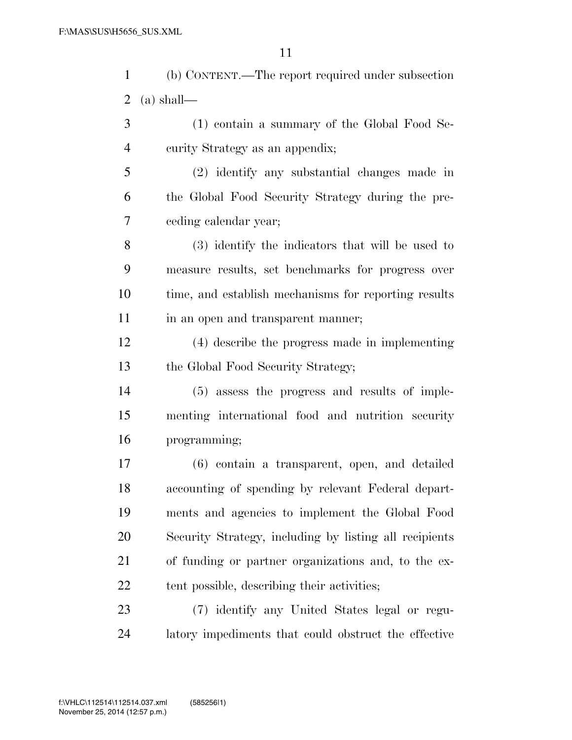(b) CONTENT.—The report required under subsection 2 (a) shall—

 (1) contain a summary of the Global Food Se-curity Strategy as an appendix;

 (2) identify any substantial changes made in the Global Food Security Strategy during the pre-ceding calendar year;

 (3) identify the indicators that will be used to measure results, set benchmarks for progress over time, and establish mechanisms for reporting results 11 in an open and transparent manner;

 (4) describe the progress made in implementing the Global Food Security Strategy;

 (5) assess the progress and results of imple- menting international food and nutrition security programming;

 (6) contain a transparent, open, and detailed accounting of spending by relevant Federal depart- ments and agencies to implement the Global Food Security Strategy, including by listing all recipients of funding or partner organizations and, to the ex-22 tent possible, describing their activities;

 (7) identify any United States legal or regu-latory impediments that could obstruct the effective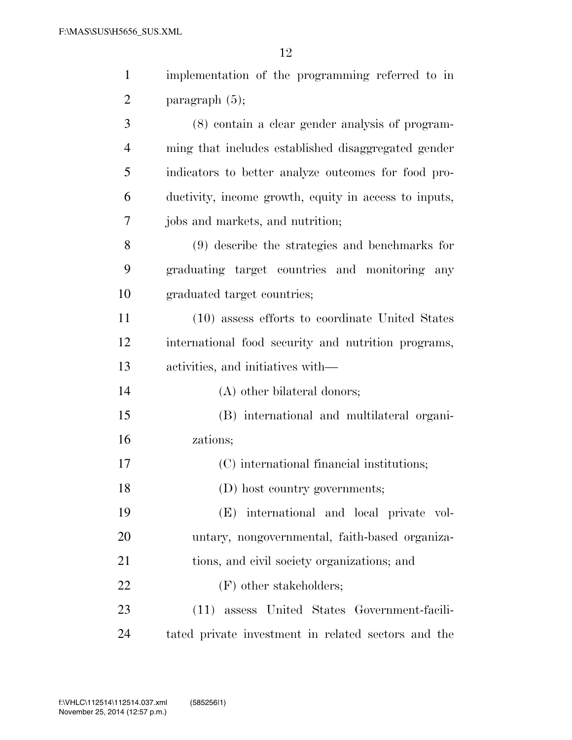| $\mathbf{1}$   | implementation of the programming referred to in      |
|----------------|-------------------------------------------------------|
| $\overline{2}$ | paragraph $(5)$ ;                                     |
| 3              | (8) contain a clear gender analysis of program-       |
| $\overline{4}$ | ming that includes established disaggregated gender   |
| 5              | indicators to better analyze outcomes for food pro-   |
| 6              | ductivity, income growth, equity in access to inputs, |
| 7              | jobs and markets, and nutrition;                      |
| 8              | (9) describe the strategies and benchmarks for        |
| 9              | graduating target countries and monitoring<br>any     |
| 10             | graduated target countries;                           |
| 11             | (10) assess efforts to coordinate United States       |
| 12             | international food security and nutrition programs,   |
| 13             | activities, and initiatives with—                     |
| 14             | (A) other bilateral donors;                           |
| 15             | (B) international and multilateral organi-            |
| 16             | zations;                                              |
| 17             | (C) international financial institutions;             |
| 18             | (D) host country governments;                         |
| 19             | (E) international and local private vol-              |
| 20             | untary, nongovernmental, faith-based organiza-        |
| 21             | tions, and civil society organizations; and           |
| 22             | (F) other stakeholders;                               |
| 23             | (11) assess United States Government-facili-          |
| 24             | tated private investment in related sectors and the   |